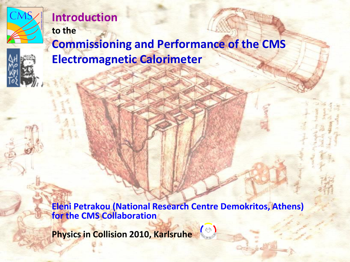

### **Introduction to the**

**Commissioning and Performance of the CMS Electromagnetic Calorimeter**

**Eleni Petrakou (National Research Centre Demokritos, Athens) for the CMS Collaboration**

**Physics in Collision 2010, Karlsruhe**

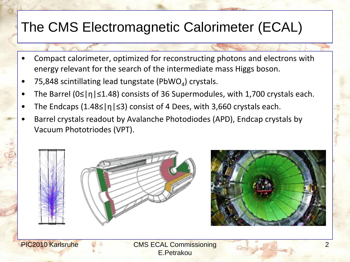# The CMS Electromagnetic Calorimeter (ECAL)

- Compact calorimeter, optimized for reconstructing photons and electrons with energy relevant for the search of the intermediate mass Higgs boson.
- 75,848 scintillating lead tungstate (PbWO<sub>4</sub>) crystals.
- The Barrel (0≤|η|≤1.48) consists of 36 Supermodules, with 1,700 crystals each.
- The Endcaps (1.48 $\leq$ |η| $\leq$ 3) consist of 4 Dees, with 3,660 crystals each.
- Barrel crystals readout by Avalanche Photodiodes (APD), Endcap crystals by Vacuum Phototriodes (VPT).



PIC2010 Karlsruhe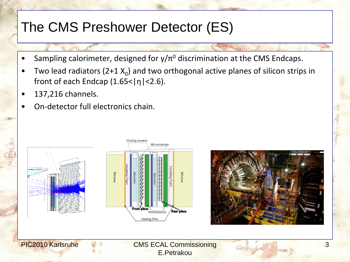## The CMS Preshower Detector (ES)

- Sampling calorimeter, designed for  $\gamma/\pi^0$  discrimination at the CMS Endcaps.
- Two lead radiators (2+1  $X_0$ ) and two orthogonal active planes of silicon strips in front of each Endcap  $(1.65 < |\eta| < 2.6)$ .
- 137,216 channels.
- On-detector full electronics chain.





CMS ECAL Commissioning E.Petrakou

Rear plane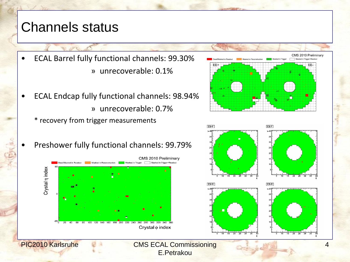#### Channels status

- ECAL Barrel fully functional channels: 99.30% » unrecoverable: 0.1%
- ECAL Endcap fully functional channels: 98.94% » unrecoverable: 0.7%
	- \* recovery from trigger measurements
- Preshower fully functional channels: 99.79%





PIC2010 Karlsruhe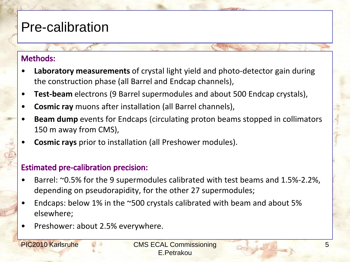### Pre-calibration

#### **Methods:**

- **Laboratory measurements** of crystal light yield and photo-detector gain during the construction phase (all Barrel and Endcap channels),
- **Test-beam** electrons (9 Barrel supermodules and about 500 Endcap crystals),
- **Cosmic ray** muons after installation (all Barrel channels),
- **Beam dump** events for Endcaps (circulating proton beams stopped in collimators 150 m away from CMS),
- **Cosmic rays** prior to installation (all Preshower modules).

#### **Estimated pre-calibration precision:**

- Barrel: ~0.5% for the 9 supermodules calibrated with test beams and 1.5%-2.2%, depending on pseudorapidity, for the other 27 supermodules;
- Endcaps: below 1% in the ~500 crystals calibrated with beam and about 5% elsewhere;
- Preshower: about 2.5% everywhere.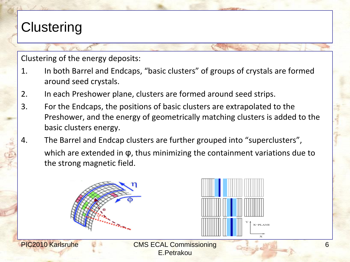# **Clustering**

Clustering of the energy deposits:

- 1. In both Barrel and Endcaps, "basic clusters" of groups of crystals are formed around seed crystals.
- 2. In each Preshower plane, clusters are formed around seed strips.
- 3. For the Endcaps, the positions of basic clusters are extrapolated to the Preshower, and the energy of geometrically matching clusters is added to the basic clusters energy.
- 4. The Barrel and Endcap clusters are further grouped into "superclusters", which are extended in φ, thus minimizing the containment variations due to the strong magnetic field.





PIC2010 Karlsruhe